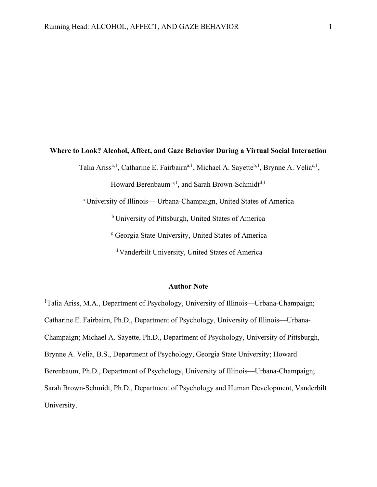### **Where to Look? Alcohol, Affect, and Gaze Behavior During a Virtual Social Interaction**

Talia Ariss<sup>a, 1</sup>, Catharine E. Fairbairn<sup>a, 1</sup>, Michael A. Sayette<sup>b, 1</sup>, Brynne A. Velia<sup>c, 1</sup>,

Howard Berenbaum<sup>a, 1</sup>, and Sarah Brown-Schmidt<sup>d, 1</sup>

a University of Illinois— Urbana-Champaign, United States of America

b University of Pittsburgh, United States of America

<sup>c</sup> Georgia State University, United States of America

d Vanderbilt University, United States of America

### **Author Note**

<sup>1</sup>Talia Ariss, M.A., Department of Psychology, University of Illinois—Urbana-Champaign; Catharine E. Fairbairn, Ph.D., Department of Psychology, University of Illinois—Urbana-Champaign; Michael A. Sayette, Ph.D., Department of Psychology, University of Pittsburgh, Brynne A. Velia, B.S., Department of Psychology, Georgia State University; Howard Berenbaum, Ph.D., Department of Psychology, University of Illinois—Urbana-Champaign; Sarah Brown-Schmidt, Ph.D., Department of Psychology and Human Development, Vanderbilt University.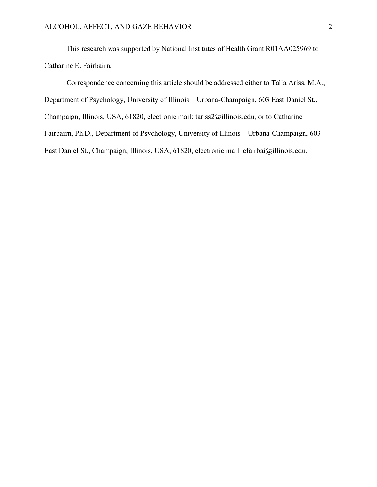This research was supported by National Institutes of Health Grant R01AA025969 to Catharine E. Fairbairn.

Correspondence concerning this article should be addressed either to Talia Ariss, M.A., Department of Psychology, University of Illinois—Urbana-Champaign, 603 East Daniel St., Champaign, Illinois, USA, 61820, electronic mail: tariss2@illinois.edu, or to Catharine Fairbairn, Ph.D., Department of Psychology, University of Illinois—Urbana-Champaign, 603 East Daniel St., Champaign, Illinois, USA, 61820, electronic mail: [cfairbai@illinois.edu.](about:blank)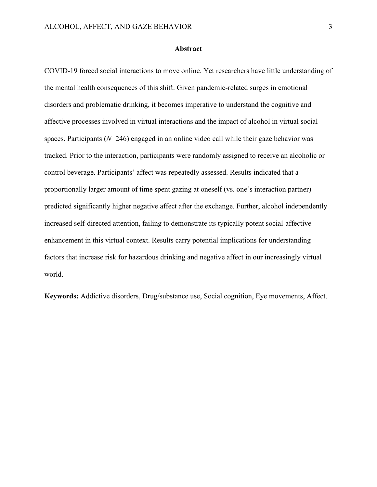#### **Abstract**

COVID-19 forced social interactions to move online. Yet researchers have little understanding of the mental health consequences of this shift. Given pandemic-related surges in emotional disorders and problematic drinking, it becomes imperative to understand the cognitive and affective processes involved in virtual interactions and the impact of alcohol in virtual social spaces. Participants (*N*=246) engaged in an online video call while their gaze behavior was tracked. Prior to the interaction, participants were randomly assigned to receive an alcoholic or control beverage. Participants' affect was repeatedly assessed. Results indicated that a proportionally larger amount of time spent gazing at oneself (vs. one's interaction partner) predicted significantly higher negative affect after the exchange. Further, alcohol independently increased self-directed attention, failing to demonstrate its typically potent social-affective enhancement in this virtual context. Results carry potential implications for understanding factors that increase risk for hazardous drinking and negative affect in our increasingly virtual world.

**Keywords:** Addictive disorders, Drug/substance use, Social cognition, Eye movements, Affect.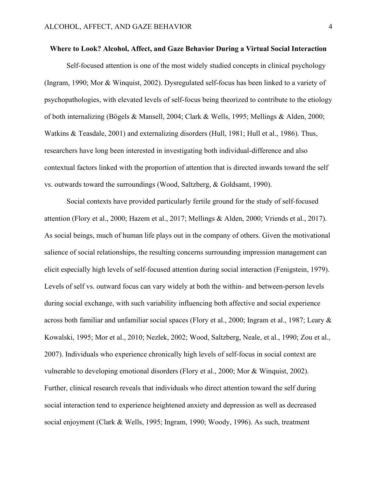### **Where to Look? Alcohol, Affect, and Gaze Behavior During a Virtual Social Interaction**

Self-focused attention is one of the most widely studied concepts in clinical psychology (Ingram, 1990; Mor & Winquist, 2002). Dysregulated self-focus has been linked to a variety of psychopathologies, with elevated levels of self-focus being theorized to contribute to the etiology of both internalizing (Bögels & Mansell, 2004; Clark & Wells, 1995; Mellings & Alden, 2000; Watkins & Teasdale, 2001) and externalizing disorders (Hull, 1981; Hull et al., 1986). Thus, researchers have long been interested in investigating both individual-difference and also contextual factors linked with the proportion of attention that is directed inwards toward the self vs. outwards toward the surroundings (Wood, Saltzberg, & Goldsamt, 1990).

Social contexts have provided particularly fertile ground for the study of self-focused attention (Flory et al., 2000; Hazem et al., 2017; Mellings & Alden, 2000; Vriends et al., 2017). As social beings, much of human life plays out in the company of others. Given the motivational salience of social relationships, the resulting concerns surrounding impression management can elicit especially high levels of self-focused attention during social interaction (Fenigstein, 1979). Levels of self vs. outward focus can vary widely at both the within- and between-person levels during social exchange, with such variability influencing both affective and social experience across both familiar and unfamiliar social spaces (Flory et al., 2000; Ingram et al., 1987; Leary & Kowalski, 1995; Mor et al., 2010; Nezlek, 2002; Wood, Saltzberg, Neale, et al., 1990; Zou et al., 2007). Individuals who experience chronically high levels of self-focus in social context are vulnerable to developing emotional disorders (Flory et al., 2000; Mor & Winquist, 2002). Further, clinical research reveals that individuals who direct attention toward the self during social interaction tend to experience heightened anxiety and depression as well as decreased social enjoyment (Clark & Wells, 1995; Ingram, 1990; Woody, 1996). As such, treatment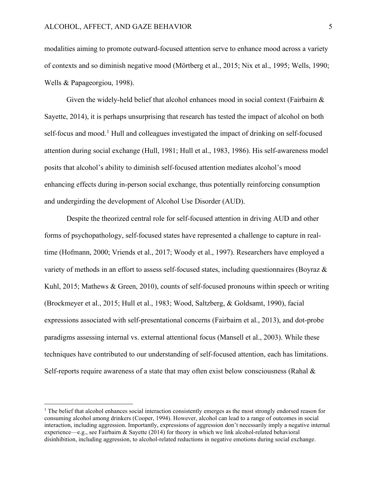modalities aiming to promote outward-focused attention serve to enhance mood across a variety of contexts and so diminish negative mood (Mörtberg et al., 2015; Nix et al., 1995; Wells, 1990; Wells & Papageorgiou, 1998).

Given the widely-held belief that alcohol enhances mood in social context (Fairbairn  $\&$ Sayette, 2014), it is perhaps unsurprising that research has tested the impact of alcohol on both self-focus and mood.<sup>[1](#page-4-0)</sup> Hull and colleagues investigated the impact of drinking on self-focused attention during social exchange (Hull, 1981; Hull et al., 1983, 1986). His self-awareness model posits that alcohol's ability to diminish self-focused attention mediates alcohol's mood enhancing effects during in-person social exchange, thus potentially reinforcing consumption and undergirding the development of Alcohol Use Disorder (AUD).

Despite the theorized central role for self-focused attention in driving AUD and other forms of psychopathology, self-focused states have represented a challenge to capture in realtime (Hofmann, 2000; Vriends et al., 2017; Woody et al., 1997). Researchers have employed a variety of methods in an effort to assess self-focused states, including questionnaires (Boyraz & Kuhl, 2015; Mathews & Green, 2010), counts of self-focused pronouns within speech or writing (Brockmeyer et al., 2015; Hull et al., 1983; Wood, Saltzberg, & Goldsamt, 1990), facial expressions associated with self-presentational concerns (Fairbairn et al., 2013), and dot-probe paradigms assessing internal vs. external attentional focus (Mansell et al., 2003). While these techniques have contributed to our understanding of self-focused attention, each has limitations. Self-reports require awareness of a state that may often exist below consciousness (Rahal  $\&$ 

<span id="page-4-0"></span><sup>&</sup>lt;sup>1</sup> The belief that alcohol enhances social interaction consistently emerges as the most strongly endorsed reason for consuming alcohol among drinkers (Cooper, 1994). However, alcohol can lead to a range of outcomes in social interaction, including aggression. Importantly, expressions of aggression don't necessarily imply a negative internal experience—e.g., see Fairbairn & Sayette (2014) for theory in which we link alcohol-related behavioral disinhibition, including aggression, to alcohol-related reductions in negative emotions during social exchange.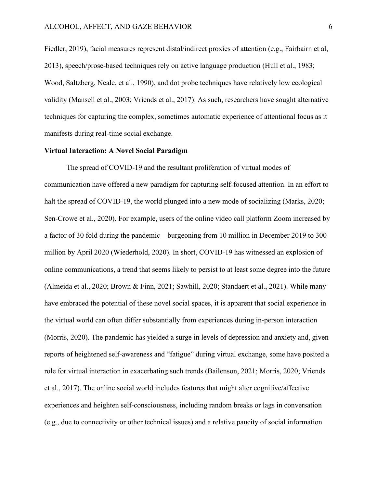Fiedler, 2019), facial measures represent distal/indirect proxies of attention (e.g., Fairbairn et al, 2013), speech/prose-based techniques rely on active language production (Hull et al., 1983; Wood, Saltzberg, Neale, et al., 1990), and dot probe techniques have relatively low ecological validity (Mansell et al., 2003; Vriends et al., 2017). As such, researchers have sought alternative techniques for capturing the complex, sometimes automatic experience of attentional focus as it manifests during real-time social exchange.

### **Virtual Interaction: A Novel Social Paradigm**

The spread of COVID-19 and the resultant proliferation of virtual modes of communication have offered a new paradigm for capturing self-focused attention. In an effort to halt the spread of COVID-19, the world plunged into a new mode of socializing (Marks, 2020; Sen-Crowe et al., 2020). For example, users of the online video call platform Zoom increased by a factor of 30 fold during the pandemic—burgeoning from 10 million in December 2019 to 300 million by April 2020 (Wiederhold, 2020). In short, COVID-19 has witnessed an explosion of online communications, a trend that seems likely to persist to at least some degree into the future (Almeida et al., 2020; Brown & Finn, 2021; Sawhill, 2020; Standaert et al., 2021). While many have embraced the potential of these novel social spaces, it is apparent that social experience in the virtual world can often differ substantially from experiences during in-person interaction (Morris, 2020). The pandemic has yielded a surge in levels of depression and anxiety and, given reports of heightened self-awareness and "fatigue" during virtual exchange, some have posited a role for virtual interaction in exacerbating such trends (Bailenson, 2021; Morris, 2020; Vriends et al., 2017). The online social world includes features that might alter cognitive/affective experiences and heighten self-consciousness, including random breaks or lags in conversation (e.g., due to connectivity or other technical issues) and a relative paucity of social information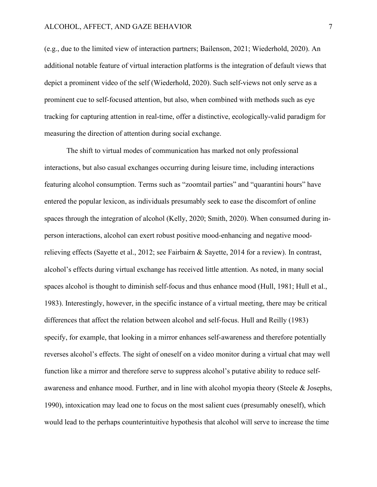(e.g., due to the limited view of interaction partners; Bailenson, 2021; Wiederhold, 2020). An additional notable feature of virtual interaction platforms is the integration of default views that depict a prominent video of the self (Wiederhold, 2020). Such self-views not only serve as a prominent cue to self-focused attention, but also, when combined with methods such as eye tracking for capturing attention in real-time, offer a distinctive, ecologically-valid paradigm for measuring the direction of attention during social exchange.

The shift to virtual modes of communication has marked not only professional interactions, but also casual exchanges occurring during leisure time, including interactions featuring alcohol consumption. Terms such as "zoomtail parties" and "quarantini hours" have entered the popular lexicon, as individuals presumably seek to ease the discomfort of online spaces through the integration of alcohol (Kelly, 2020; Smith, 2020). When consumed during inperson interactions, alcohol can exert robust positive mood-enhancing and negative moodrelieving effects (Sayette et al., 2012; see Fairbairn & Sayette, 2014 for a review). In contrast, alcohol's effects during virtual exchange has received little attention. As noted, in many social spaces alcohol is thought to diminish self-focus and thus enhance mood (Hull, 1981; Hull et al., 1983). Interestingly, however, in the specific instance of a virtual meeting, there may be critical differences that affect the relation between alcohol and self-focus. Hull and Reilly (1983) specify, for example, that looking in a mirror enhances self-awareness and therefore potentially reverses alcohol's effects. The sight of oneself on a video monitor during a virtual chat may well function like a mirror and therefore serve to suppress alcohol's putative ability to reduce selfawareness and enhance mood. Further, and in line with alcohol myopia theory (Steele & Josephs, 1990), intoxication may lead one to focus on the most salient cues (presumably oneself), which would lead to the perhaps counterintuitive hypothesis that alcohol will serve to increase the time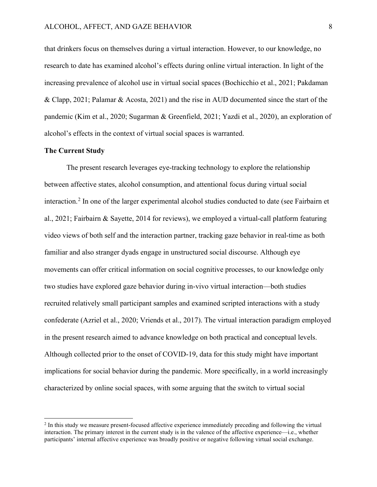that drinkers focus on themselves during a virtual interaction. However, to our knowledge, no research to date has examined alcohol's effects during online virtual interaction. In light of the increasing prevalence of alcohol use in virtual social spaces (Bochicchio et al., 2021; Pakdaman & Clapp, 2021; Palamar & Acosta, 2021) and the rise in AUD documented since the start of the pandemic (Kim et al., 2020; Sugarman & Greenfield, 2021; Yazdi et al., 2020), an exploration of alcohol's effects in the context of virtual social spaces is warranted.

### **The Current Study**

The present research leverages eye-tracking technology to explore the relationship between affective states, alcohol consumption, and attentional focus during virtual social interaction.<sup>[2](#page-7-0)</sup> In one of the larger experimental alcohol studies conducted to date (see Fairbairn et al., 2021; Fairbairn & Sayette, 2014 for reviews), we employed a virtual-call platform featuring video views of both self and the interaction partner, tracking gaze behavior in real-time as both familiar and also stranger dyads engage in unstructured social discourse. Although eye movements can offer critical information on social cognitive processes, to our knowledge only two studies have explored gaze behavior during in-vivo virtual interaction—both studies recruited relatively small participant samples and examined scripted interactions with a study confederate (Azriel et al., 2020; Vriends et al., 2017). The virtual interaction paradigm employed in the present research aimed to advance knowledge on both practical and conceptual levels. Although collected prior to the onset of COVID-19, data for this study might have important implications for social behavior during the pandemic. More specifically, in a world increasingly characterized by online social spaces, with some arguing that the switch to virtual social

<span id="page-7-0"></span><sup>&</sup>lt;sup>2</sup> In this study we measure present-focused affective experience immediately preceding and following the virtual interaction. The primary interest in the current study is in the valence of the affective experience—i.e., whether participants' internal affective experience was broadly positive or negative following virtual social exchange.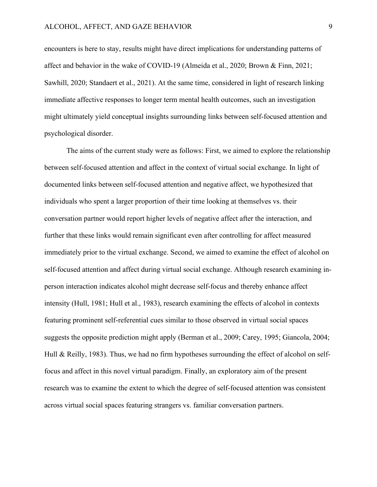encounters is here to stay, results might have direct implications for understanding patterns of affect and behavior in the wake of COVID-19 (Almeida et al., 2020; Brown & Finn, 2021; Sawhill, 2020; Standaert et al., 2021). At the same time, considered in light of research linking immediate affective responses to longer term mental health outcomes, such an investigation might ultimately yield conceptual insights surrounding links between self-focused attention and psychological disorder.

The aims of the current study were as follows: First, we aimed to explore the relationship between self-focused attention and affect in the context of virtual social exchange. In light of documented links between self-focused attention and negative affect, we hypothesized that individuals who spent a larger proportion of their time looking at themselves vs. their conversation partner would report higher levels of negative affect after the interaction, and further that these links would remain significant even after controlling for affect measured immediately prior to the virtual exchange. Second, we aimed to examine the effect of alcohol on self-focused attention and affect during virtual social exchange. Although research examining inperson interaction indicates alcohol might decrease self-focus and thereby enhance affect intensity (Hull, 1981; Hull et al., 1983), research examining the effects of alcohol in contexts featuring prominent self-referential cues similar to those observed in virtual social spaces suggests the opposite prediction might apply (Berman et al., 2009; Carey, 1995; Giancola, 2004; Hull & Reilly, 1983). Thus, we had no firm hypotheses surrounding the effect of alcohol on selffocus and affect in this novel virtual paradigm. Finally, an exploratory aim of the present research was to examine the extent to which the degree of self-focused attention was consistent across virtual social spaces featuring strangers vs. familiar conversation partners.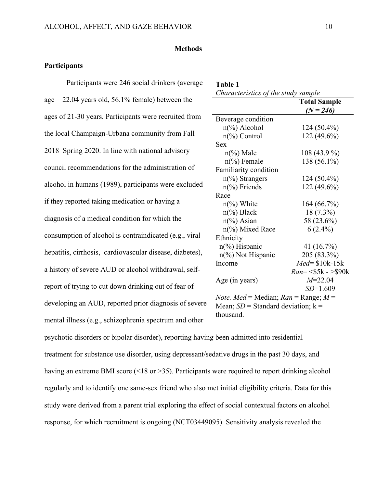### **Methods**

**Table 1**

### **Participants**

Participants were 246 social drinkers (average age  $= 22.04$  years old, 56.1% female) between the ages of 21-30 years. Participants were recruited from the local Champaign-Urbana community from Fall 2018–Spring 2020. In line with national advisory council recommendations for the administration of alcohol in humans (1989), participants were excluded if they reported taking medication or having a diagnosis of a medical condition for which the consumption of alcohol is contraindicated (e.g., viral hepatitis, cirrhosis, cardiovascular disease, diabetes), a history of severe AUD or alcohol withdrawal, selfreport of trying to cut down drinking out of fear of developing an AUD, reported prior diagnosis of severe mental illness (e.g., schizophrenia spectrum and other

| Characteristics of the study sample             | <b>Total Sample</b>  |  |  |  |
|-------------------------------------------------|----------------------|--|--|--|
|                                                 | $(N = 246)$          |  |  |  |
| Beverage condition                              |                      |  |  |  |
| $n\frac{\%}{\%}$ Alcohol                        | 124 (50.4%)          |  |  |  |
| $n\frac{6}{6}$ Control                          | 122 (49.6%)          |  |  |  |
| Sex                                             |                      |  |  |  |
| $n\frac{6}{6}$ Male                             | 108 (43.9 %)         |  |  |  |
| $n\frac{6}{6}$ Female                           | 138 (56.1%)          |  |  |  |
| Familiarity condition                           |                      |  |  |  |
| $n\frac{6}{6}$ Strangers                        | 124 (50.4%)          |  |  |  |
| $n\frac{6}{6}$ Friends                          | 122 (49.6%)          |  |  |  |
| Race                                            |                      |  |  |  |
| $n\frac{\%}{\%}$ White                          | 164 (66.7%)          |  |  |  |
| $n\frac{6}{6}$ Black                            | $18(7.3\%)$          |  |  |  |
| $n\frac{6}{6}$ Asian                            | 58 (23.6%)           |  |  |  |
| $n$ <sup>(%</sup> ) Mixed Race                  | $6(2.4\%)$           |  |  |  |
| Ethnicity                                       |                      |  |  |  |
| $n\frac{6}{6}$ Hispanic                         | 41 (16.7%)           |  |  |  |
| n(%) Not Hispanic                               | 205 (83.3%)          |  |  |  |
| Income                                          | $Med = $10k-15k$     |  |  |  |
|                                                 | $Ran = < $5k - $90k$ |  |  |  |
| Age (in years)                                  | $M = 22.04$          |  |  |  |
|                                                 | <i>SD</i> =1.609     |  |  |  |
| <i>Note. Med</i> = Median; $Ran$ = Range; $M$ = |                      |  |  |  |

Mean;  $SD =$  Standard deviation;  $k =$ thousand.

psychotic disorders or bipolar disorder), reporting having been admitted into residential treatment for substance use disorder, using depressant/sedative drugs in the past 30 days, and having an extreme BMI score (<18 or >35). Participants were required to report drinking alcohol regularly and to identify one same-sex friend who also met initial eligibility criteria. Data for this study were derived from a parent trial exploring the effect of social contextual factors on alcohol response, for which recruitment is ongoing (NCT03449095). Sensitivity analysis revealed the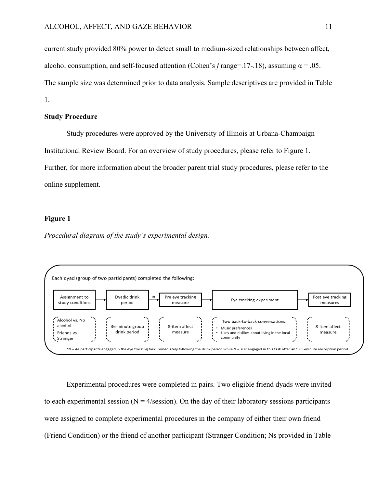current study provided 80% power to detect small to medium-sized relationships between affect, alcohol consumption, and self-focused attention (Cohen's  $f$  range=.17-.18), assuming  $\alpha = .05$ . The sample size was determined prior to data analysis. Sample descriptives are provided in Table 1.

#### **Study Procedure**

Study procedures were approved by the University of Illinois at Urbana-Champaign Institutional Review Board. For an overview of study procedures, please refer to Figure 1. Further, for more information about the broader parent trial study procedures, please refer to the online supplement.

### **Figure 1**

*Procedural diagram of the study's experimental design.*



Experimental procedures were completed in pairs. Two eligible friend dyads were invited to each experimental session ( $N = 4$ /session). On the day of their laboratory sessions participants were assigned to complete experimental procedures in the company of either their own friend (Friend Condition) or the friend of another participant (Stranger Condition; Ns provided in Table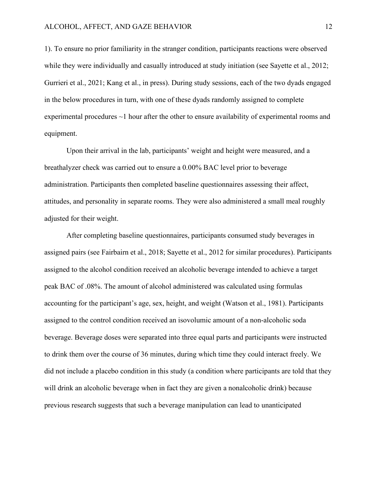1). To ensure no prior familiarity in the stranger condition, participants reactions were observed while they were individually and casually introduced at study initiation (see Sayette et al., 2012; Gurrieri et al., 2021; Kang et al., in press). During study sessions, each of the two dyads engaged in the below procedures in turn, with one of these dyads randomly assigned to complete experimental procedures ~1 hour after the other to ensure availability of experimental rooms and equipment.

Upon their arrival in the lab, participants' weight and height were measured, and a breathalyzer check was carried out to ensure a 0.00% BAC level prior to beverage administration. Participants then completed baseline questionnaires assessing their affect, attitudes, and personality in separate rooms. They were also administered a small meal roughly adjusted for their weight.

After completing baseline questionnaires, participants consumed study beverages in assigned pairs (see Fairbairn et al., 2018; Sayette et al., 2012 for similar procedures). Participants assigned to the alcohol condition received an alcoholic beverage intended to achieve a target peak BAC of .08%. The amount of alcohol administered was calculated using formulas accounting for the participant's age, sex, height, and weight (Watson et al., 1981). Participants assigned to the control condition received an isovolumic amount of a non-alcoholic soda beverage. Beverage doses were separated into three equal parts and participants were instructed to drink them over the course of 36 minutes, during which time they could interact freely. We did not include a placebo condition in this study (a condition where participants are told that they will drink an alcoholic beverage when in fact they are given a nonalcoholic drink) because previous research suggests that such a beverage manipulation can lead to unanticipated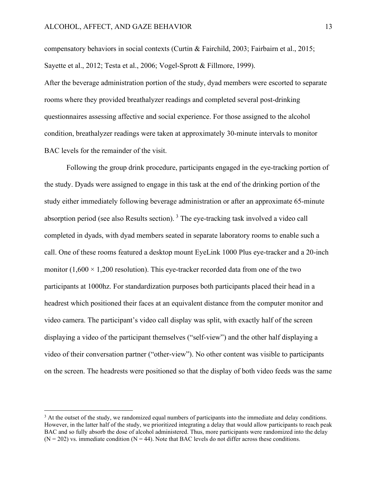compensatory behaviors in social contexts (Curtin & Fairchild, 2003; Fairbairn et al., 2015; Sayette et al., 2012; Testa et al., 2006; Vogel-Sprott & Fillmore, 1999).

After the beverage administration portion of the study, dyad members were escorted to separate rooms where they provided breathalyzer readings and completed several post-drinking questionnaires assessing affective and social experience. For those assigned to the alcohol condition, breathalyzer readings were taken at approximately 30-minute intervals to monitor BAC levels for the remainder of the visit.

Following the group drink procedure, participants engaged in the eye-tracking portion of the study. Dyads were assigned to engage in this task at the end of the drinking portion of the study either immediately following beverage administration or after an approximate 65-minute absorption period (see also Results section). [3](#page-12-0) The eye-tracking task involved a video call completed in dyads, with dyad members seated in separate laboratory rooms to enable such a call. One of these rooms featured a desktop mount EyeLink 1000 Plus eye-tracker and a 20-inch monitor  $(1,600 \times 1,200$  resolution). This eye-tracker recorded data from one of the two participants at 1000hz. For standardization purposes both participants placed their head in a headrest which positioned their faces at an equivalent distance from the computer monitor and video camera. The participant's video call display was split, with exactly half of the screen displaying a video of the participant themselves ("self-view") and the other half displaying a video of their conversation partner ("other-view"). No other content was visible to participants on the screen. The headrests were positioned so that the display of both video feeds was the same

<span id="page-12-0"></span><sup>&</sup>lt;sup>3</sup> At the outset of the study, we randomized equal numbers of participants into the immediate and delay conditions. However, in the latter half of the study, we prioritized integrating a delay that would allow participants to reach peak BAC and so fully absorb the dose of alcohol administered. Thus, more participants were randomized into the delay  $(N = 202)$  vs. immediate condition  $(N = 44)$ . Note that BAC levels do not differ across these conditions.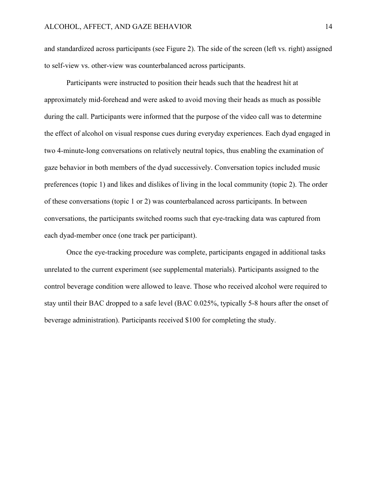and standardized across participants (see Figure 2). The side of the screen (left vs. right) assigned to self-view vs. other-view was counterbalanced across participants.

Participants were instructed to position their heads such that the headrest hit at approximately mid-forehead and were asked to avoid moving their heads as much as possible during the call. Participants were informed that the purpose of the video call was to determine the effect of alcohol on visual response cues during everyday experiences. Each dyad engaged in two 4-minute-long conversations on relatively neutral topics, thus enabling the examination of gaze behavior in both members of the dyad successively. Conversation topics included music preferences (topic 1) and likes and dislikes of living in the local community (topic 2). The order of these conversations (topic 1 or 2) was counterbalanced across participants. In between conversations, the participants switched rooms such that eye-tracking data was captured from each dyad-member once (one track per participant).

Once the eye-tracking procedure was complete, participants engaged in additional tasks unrelated to the current experiment (see supplemental materials). Participants assigned to the control beverage condition were allowed to leave. Those who received alcohol were required to stay until their BAC dropped to a safe level (BAC 0.025%, typically 5-8 hours after the onset of beverage administration). Participants received \$100 for completing the study.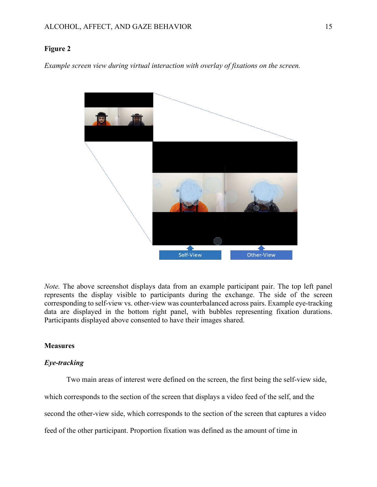### **Figure 2**

*Example screen view during virtual interaction with overlay of fixations on the screen.* 



*Note.* The above screenshot displays data from an example participant pair. The top left panel represents the display visible to participants during the exchange. The side of the screen corresponding to self-view vs. other-view was counterbalanced across pairs. Example eye-tracking data are displayed in the bottom right panel, with bubbles representing fixation durations. Participants displayed above consented to have their images shared.

### **Measures**

# *Eye-tracking*

Two main areas of interest were defined on the screen, the first being the self-view side,

which corresponds to the section of the screen that displays a video feed of the self, and the

second the other-view side, which corresponds to the section of the screen that captures a video

feed of the other participant. Proportion fixation was defined as the amount of time in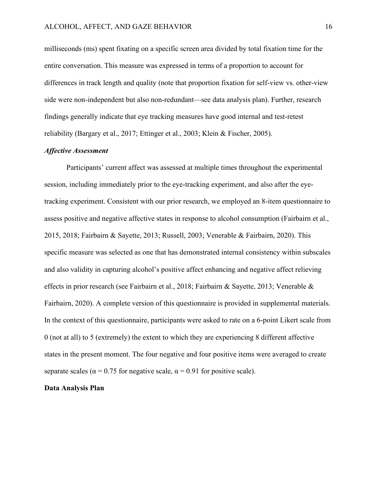milliseconds (ms) spent fixating on a specific screen area divided by total fixation time for the entire conversation. This measure was expressed in terms of a proportion to account for differences in track length and quality (note that proportion fixation for self-view vs. other-view side were non-independent but also non-redundant—see data analysis plan). Further, research findings generally indicate that eye tracking measures have good internal and test-retest reliability (Bargary et al., 2017; Ettinger et al., 2003; Klein & Fischer, 2005).

### *Affective Assessment*

Participants' current affect was assessed at multiple times throughout the experimental session, including immediately prior to the eye-tracking experiment, and also after the eyetracking experiment. Consistent with our prior research, we employed an 8-item questionnaire to assess positive and negative affective states in response to alcohol consumption (Fairbairn et al., 2015, 2018; Fairbairn & Sayette, 2013; Russell, 2003; Venerable & Fairbairn, 2020). This specific measure was selected as one that has demonstrated internal consistency within subscales and also validity in capturing alcohol's positive affect enhancing and negative affect relieving effects in prior research (see Fairbairn et al., 2018; Fairbairn & Sayette, 2013; Venerable & Fairbairn, 2020). A complete version of this questionnaire is provided in supplemental materials. In the context of this questionnaire, participants were asked to rate on a 6-point Likert scale from 0 (not at all) to 5 (extremely) the extent to which they are experiencing 8 different affective states in the present moment. The four negative and four positive items were averaged to create separate scales ( $\alpha$  = 0.75 for negative scale,  $\alpha$  = 0.91 for positive scale).

#### **Data Analysis Plan**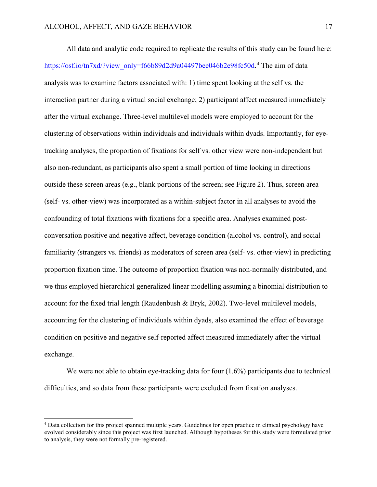All data and analytic code required to replicate the results of this study can be found here: [https://osf.io/tn7xd/?view\\_only=f66b89d2d9a04497bee046b2e98fc50d.](https://osf.io/tn7xd/?view_only=f66b89d2d9a04497bee046b2e98fc50d)<sup>[4](#page-16-0)</sup> The aim of data analysis was to examine factors associated with: 1) time spent looking at the self vs. the interaction partner during a virtual social exchange; 2) participant affect measured immediately after the virtual exchange. Three-level multilevel models were employed to account for the clustering of observations within individuals and individuals within dyads. Importantly, for eyetracking analyses, the proportion of fixations for self vs. other view were non-independent but also non-redundant, as participants also spent a small portion of time looking in directions outside these screen areas (e.g., blank portions of the screen; see Figure 2). Thus, screen area (self- vs. other-view) was incorporated as a within-subject factor in all analyses to avoid the confounding of total fixations with fixations for a specific area. Analyses examined postconversation positive and negative affect, beverage condition (alcohol vs. control), and social familiarity (strangers vs. friends) as moderators of screen area (self- vs. other-view) in predicting proportion fixation time. The outcome of proportion fixation was non-normally distributed, and we thus employed hierarchical generalized linear modelling assuming a binomial distribution to account for the fixed trial length (Raudenbush & Bryk, 2002). Two-level multilevel models, accounting for the clustering of individuals within dyads, also examined the effect of beverage condition on positive and negative self-reported affect measured immediately after the virtual exchange.

We were not able to obtain eye-tracking data for four  $(1.6\%)$  participants due to technical difficulties, and so data from these participants were excluded from fixation analyses.

<span id="page-16-0"></span><sup>4</sup> Data collection for this project spanned multiple years. Guidelines for open practice in clinical psychology have evolved considerably since this project was first launched. Although hypotheses for this study were formulated prior to analysis, they were not formally pre-registered.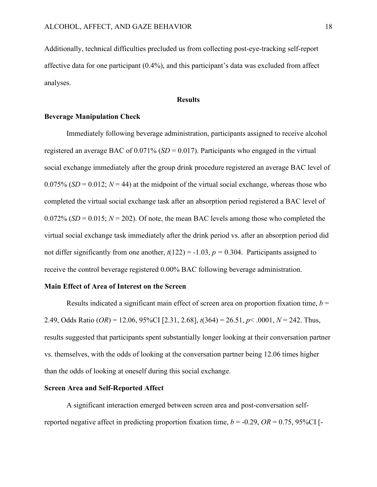Additionally, technical difficulties precluded us from collecting post-eye-tracking self-report affective data for one participant (0.4%), and this participant's data was excluded from affect analyses.

### **Results**

### **Beverage Manipulation Check**

Immediately following beverage administration, participants assigned to receive alcohol registered an average BAC of 0.071% (*SD* = 0.017). Participants who engaged in the virtual social exchange immediately after the group drink procedure registered an average BAC level of 0.075% ( $SD = 0.012$ ;  $N = 44$ ) at the midpoint of the virtual social exchange, whereas those who completed the virtual social exchange task after an absorption period registered a BAC level of  $0.072\%$  (*SD* = 0.015;  $N = 202$ ). Of note, the mean BAC levels among those who completed the virtual social exchange task immediately after the drink period vs. after an absorption period did not differ significantly from one another,  $t(122) = -1.03$ ,  $p = 0.304$ . Participants assigned to receive the control beverage registered 0.00% BAC following beverage administration.

#### **Main Effect of Area of Interest on the Screen**

Results indicated a significant main effect of screen area on proportion fixation time,  $b =$ 2.49, Odds Ratio (*OR*) = 12.06, 95%CI [2.31, 2.68], *t*(364) = 26.51, *p*< .0001, *N* = 242. Thus, results suggested that participants spent substantially longer looking at their conversation partner vs. themselves, with the odds of looking at the conversation partner being 12.06 times higher than the odds of looking at oneself during this social exchange.

### **Screen Area and Self-Reported Affect**

A significant interaction emerged between screen area and post-conversation selfreported negative affect in predicting proportion fixation time,  $b = -0.29$ ,  $OR = 0.75$ , 95%CI [-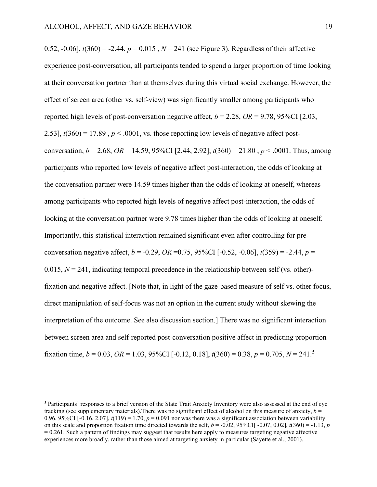0.52,  $-0.06$ ],  $t(360) = -2.44$ ,  $p = 0.015$ ,  $N = 241$  (see Figure 3). Regardless of their affective experience post-conversation, all participants tended to spend a larger proportion of time looking at their conversation partner than at themselves during this virtual social exchange. However, the effect of screen area (other vs. self-view) was significantly smaller among participants who reported high levels of post-conversation negative affect,  $b = 2.28$ ,  $OR = 9.78$ ,  $95\%$ CI [2.03, 2.53],  $t(360) = 17.89$ ,  $p < .0001$ , vs. those reporting low levels of negative affect postconversation,  $b = 2.68$ ,  $OR = 14.59$ ,  $95\%$ CI [2.44, 2.92],  $t(360) = 21.80$ ,  $p < .0001$ . Thus, among participants who reported low levels of negative affect post-interaction, the odds of looking at the conversation partner were 14.59 times higher than the odds of looking at oneself, whereas among participants who reported high levels of negative affect post-interaction, the odds of looking at the conversation partner were 9.78 times higher than the odds of looking at oneself. Importantly, this statistical interaction remained significant even after controlling for preconversation negative affect,  $b = -0.29$ ,  $OR = 0.75$ ,  $95\%$ CI [ $-0.52$ ,  $-0.06$ ],  $t(359) = -2.44$ ,  $p =$ 0.015,  $N = 241$ , indicating temporal precedence in the relationship between self (vs. other)fixation and negative affect. [Note that, in light of the gaze-based measure of self vs. other focus, direct manipulation of self-focus was not an option in the current study without skewing the interpretation of the outcome. See also discussion section.] There was no significant interaction between screen area and self-reported post-conversation positive affect in predicting proportion fixation time,  $b = 0.03$ ,  $OR = 1.03$ ,  $95\%$  $95\%$  $95\%$ CI [-0.12, 0.18],  $t(360) = 0.38$ ,  $p = 0.705$ ,  $N = 241$ .<sup>5</sup>

<span id="page-18-0"></span><sup>5</sup> Participants' responses to a brief version of the State Trait Anxiety Inventory were also assessed at the end of eye tracking (see supplementary materials). There was no significant effect of alcohol on this measure of anxiety,  $b =$ 0.96, 95%CI  $[-0.16, 2.07]$ ,  $t(119) = 1.70$ ,  $p = 0.091$  nor was there was a significant association between variability on this scale and proportion fixation time directed towards the self,  $b = -0.02$ , 95%CI[  $-0.07$ , 0.02],  $t(360) = -1.13$ , *p*  $= 0.261$ . Such a pattern of findings may suggest that results here apply to measures targeting negative affective experiences more broadly, rather than those aimed at targeting anxiety in particular (Sayette et al., 2001).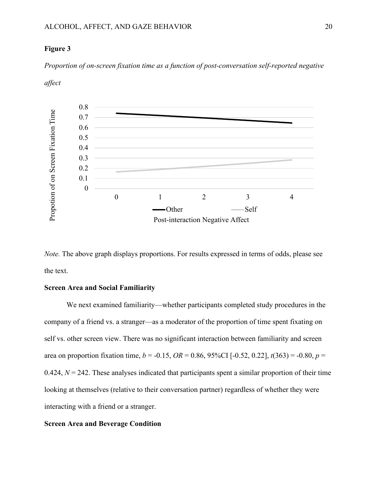### **Figure 3**

*affect*

*Proportion of on-screen fixation time as a function of post-conversation self-reported negative* 



*Note.* The above graph displays proportions. For results expressed in terms of odds, please see the text.

### **Screen Area and Social Familiarity**

We next examined familiarity—whether participants completed study procedures in the company of a friend vs. a stranger—as a moderator of the proportion of time spent fixating on self vs. other screen view. There was no significant interaction between familiarity and screen area on proportion fixation time,  $b = -0.15$ ,  $OR = 0.86$ ,  $95\%CI$  [ $-0.52$ ,  $0.22$ ],  $t(363) = -0.80$ ,  $p =$  $0.424$ ,  $N = 242$ . These analyses indicated that participants spent a similar proportion of their time looking at themselves (relative to their conversation partner) regardless of whether they were interacting with a friend or a stranger.

# **Screen Area and Beverage Condition**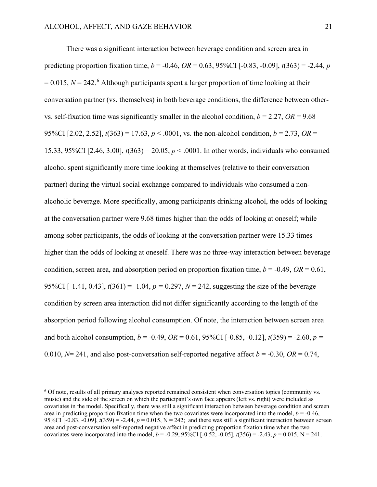There was a significant interaction between beverage condition and screen area in predicting proportion fixation time,  $b = -0.46$ ,  $OR = 0.63$ ,  $95\%CI$  [ $-0.83$ ,  $-0.09$ ],  $t(363) = -2.44$ , *p*  $= 0.015$ ,  $N = 242$ <sup>[6](#page-20-0)</sup> Although participants spent a larger proportion of time looking at their conversation partner (vs. themselves) in both beverage conditions, the difference between othervs. self-fixation time was significantly smaller in the alcohol condition,  $b = 2.27$ ,  $OR = 9.68$ 95%CI [2.02, 2.52],  $t(363) = 17.63$ ,  $p < .0001$ , vs. the non-alcohol condition,  $b = 2.73$ ,  $OR =$ 15.33, 95%CI [2.46, 3.00],  $t(363) = 20.05$ ,  $p < .0001$ . In other words, individuals who consumed alcohol spent significantly more time looking at themselves (relative to their conversation partner) during the virtual social exchange compared to individuals who consumed a nonalcoholic beverage. More specifically, among participants drinking alcohol, the odds of looking at the conversation partner were 9.68 times higher than the odds of looking at oneself; while among sober participants, the odds of looking at the conversation partner were 15.33 times higher than the odds of looking at oneself. There was no three-way interaction between beverage condition, screen area, and absorption period on proportion fixation time,  $b = -0.49$ ,  $OR = 0.61$ , 95%CI [-1.41, 0.43],  $t(361) = -1.04$ ,  $p = 0.297$ ,  $N = 242$ , suggesting the size of the beverage condition by screen area interaction did not differ significantly according to the length of the absorption period following alcohol consumption. Of note, the interaction between screen area and both alcohol consumption,  $b = -0.49$ ,  $OR = 0.61$ ,  $95\%CI$  [ $-0.85$ ,  $-0.12$ ],  $t(359) = -2.60$ ,  $p =$ 0.010,  $N= 241$ , and also post-conversation self-reported negative affect  $b = -0.30$ ,  $OR = 0.74$ ,

<span id="page-20-0"></span><sup>6</sup> Of note, results of all primary analyses reported remained consistent when conversation topics (community vs. music) and the side of the screen on which the participant's own face appears (left vs. right) were included as covariates in the model. Specifically, there was still a significant interaction between beverage condition and screen area in predicting proportion fixation time when the two covariates were incorporated into the model,  $b = -0.46$ , 95%CI  $[-0.83, -0.09]$ ,  $t(359) = -2.44$ ,  $p = 0.015$ ,  $N = 242$ ; and there was still a significant interaction between screen area and post-conversation self-reported negative affect in predicting proportion fixation time when the two covariates were incorporated into the model,  $b = -0.29$ , 95%CI [-0.52, -0.05],  $t(356) = -2.43$ ,  $p = 0.015$ , N = 241.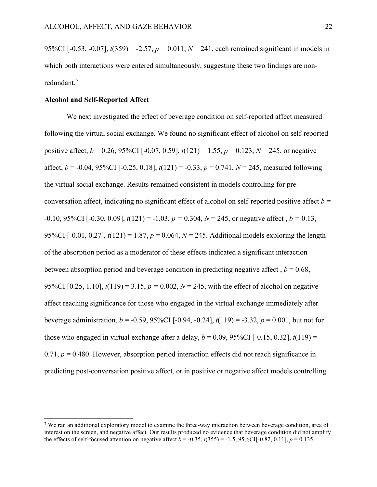95%CI [-0.53, -0.07],  $t(359) = -2.57$ ,  $p = 0.011$ ,  $N = 241$ , each remained significant in models in which both interactions were entered simultaneously, suggesting these two findings are nonredundant. [7](#page-21-0)

#### **Alcohol and Self-Reported Affect**

We next investigated the effect of beverage condition on self-reported affect measured following the virtual social exchange. We found no significant effect of alcohol on self-reported positive affect,  $b = 0.26$ , 95%CI [-0.07, 0.59],  $t(121) = 1.55$ ,  $p = 0.123$ ,  $N = 245$ , or negative affect,  $b = -0.04$ , 95%CI [ $-0.25$ , 0.18],  $t(121) = -0.33$ ,  $p = 0.741$ ,  $N = 245$ , measured following the virtual social exchange. Results remained consistent in models controlling for preconversation affect, indicating no significant effect of alcohol on self-reported positive affect  $b =$  $-0.10$ , 95%CI [ $-0.30$ , 0.09],  $t(121) = -1.03$ ,  $p = 0.304$ ,  $N = 245$ , or negative affect,  $b = 0.13$ , 95%CI [-0.01, 0.27], *t*(121) = 1.87, *p* = 0.064, *N* = 245. Additional models exploring the length of the absorption period as a moderator of these effects indicated a significant interaction between absorption period and beverage condition in predicting negative affect,  $b = 0.68$ , 95%CI [0.25, 1.10],  $t(119) = 3.15$ ,  $p = 0.002$ ,  $N = 245$ , with the effect of alcohol on negative affect reaching significance for those who engaged in the virtual exchange immediately after beverage administration,  $b = -0.59$ , 95%CI [-0.94, -0.24],  $t(119) = -3.32$ ,  $p = 0.001$ , but not for those who engaged in virtual exchange after a delay,  $b = 0.09$ , 95%CI [-0.15, 0.32],  $t(119) =$  $0.71, p = 0.480$ . However, absorption period interaction effects did not reach significance in predicting post-conversation positive affect, or in positive or negative affect models controlling

<span id="page-21-0"></span><sup>&</sup>lt;sup>7</sup> We ran an additional exploratory model to examine the three-way interaction between beverage condition, area of interest on the screen, and negative affect. Our results produced no evidence that beverage condition did not amplify the effects of self-focused attention on negative affect  $b = -0.35$ ,  $t(355) = -1.5$ ,  $95\%$ CI[-0.82, 0.11],  $p = 0.135$ .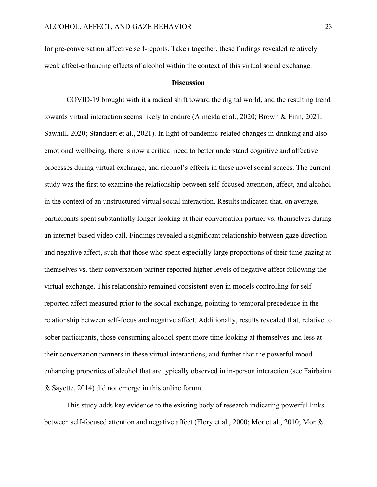for pre-conversation affective self-reports. Taken together, these findings revealed relatively weak affect-enhancing effects of alcohol within the context of this virtual social exchange.

#### **Discussion**

COVID-19 brought with it a radical shift toward the digital world, and the resulting trend towards virtual interaction seems likely to endure (Almeida et al., 2020; Brown & Finn, 2021; Sawhill, 2020; Standaert et al., 2021). In light of pandemic-related changes in drinking and also emotional wellbeing, there is now a critical need to better understand cognitive and affective processes during virtual exchange, and alcohol's effects in these novel social spaces. The current study was the first to examine the relationship between self-focused attention, affect, and alcohol in the context of an unstructured virtual social interaction. Results indicated that, on average, participants spent substantially longer looking at their conversation partner vs. themselves during an internet-based video call. Findings revealed a significant relationship between gaze direction and negative affect, such that those who spent especially large proportions of their time gazing at themselves vs. their conversation partner reported higher levels of negative affect following the virtual exchange. This relationship remained consistent even in models controlling for selfreported affect measured prior to the social exchange, pointing to temporal precedence in the relationship between self-focus and negative affect. Additionally, results revealed that, relative to sober participants, those consuming alcohol spent more time looking at themselves and less at their conversation partners in these virtual interactions, and further that the powerful moodenhancing properties of alcohol that are typically observed in in-person interaction (see Fairbairn & Sayette, 2014) did not emerge in this online forum.

This study adds key evidence to the existing body of research indicating powerful links between self-focused attention and negative affect (Flory et al., 2000; Mor et al., 2010; Mor &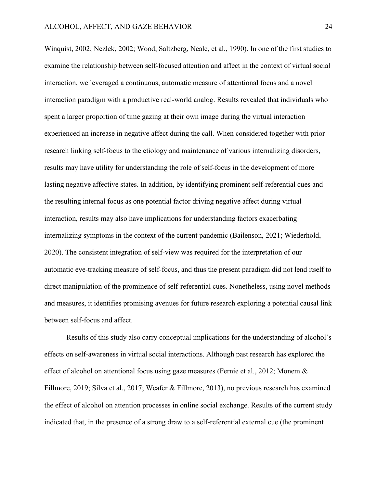Winquist, 2002; Nezlek, 2002; Wood, Saltzberg, Neale, et al., 1990). In one of the first studies to examine the relationship between self-focused attention and affect in the context of virtual social interaction, we leveraged a continuous, automatic measure of attentional focus and a novel interaction paradigm with a productive real-world analog. Results revealed that individuals who spent a larger proportion of time gazing at their own image during the virtual interaction experienced an increase in negative affect during the call. When considered together with prior research linking self-focus to the etiology and maintenance of various internalizing disorders, results may have utility for understanding the role of self-focus in the development of more lasting negative affective states. In addition, by identifying prominent self-referential cues and the resulting internal focus as one potential factor driving negative affect during virtual interaction, results may also have implications for understanding factors exacerbating internalizing symptoms in the context of the current pandemic (Bailenson, 2021; Wiederhold, 2020). The consistent integration of self-view was required for the interpretation of our automatic eye-tracking measure of self-focus, and thus the present paradigm did not lend itself to direct manipulation of the prominence of self-referential cues. Nonetheless, using novel methods and measures, it identifies promising avenues for future research exploring a potential causal link between self-focus and affect.

Results of this study also carry conceptual implications for the understanding of alcohol's effects on self-awareness in virtual social interactions. Although past research has explored the effect of alcohol on attentional focus using gaze measures (Fernie et al., 2012; Monem & Fillmore, 2019; Silva et al., 2017; Weafer & Fillmore, 2013), no previous research has examined the effect of alcohol on attention processes in online social exchange. Results of the current study indicated that, in the presence of a strong draw to a self-referential external cue (the prominent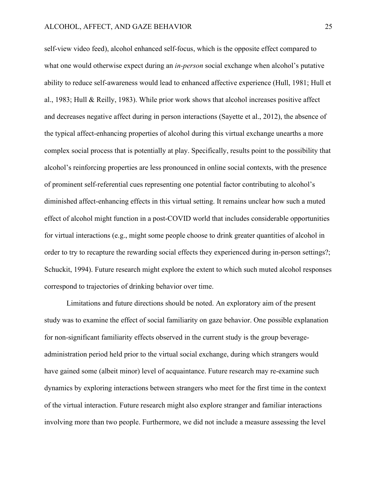self-view video feed), alcohol enhanced self-focus, which is the opposite effect compared to what one would otherwise expect during an *in-person* social exchange when alcohol's putative ability to reduce self-awareness would lead to enhanced affective experience (Hull, 1981; Hull et al., 1983; Hull & Reilly, 1983). While prior work shows that alcohol increases positive affect and decreases negative affect during in person interactions (Sayette et al., 2012), the absence of the typical affect-enhancing properties of alcohol during this virtual exchange unearths a more complex social process that is potentially at play. Specifically, results point to the possibility that alcohol's reinforcing properties are less pronounced in online social contexts, with the presence of prominent self-referential cues representing one potential factor contributing to alcohol's diminished affect-enhancing effects in this virtual setting. It remains unclear how such a muted effect of alcohol might function in a post-COVID world that includes considerable opportunities for virtual interactions (e.g., might some people choose to drink greater quantities of alcohol in order to try to recapture the rewarding social effects they experienced during in-person settings?; Schuckit, 1994). Future research might explore the extent to which such muted alcohol responses correspond to trajectories of drinking behavior over time.

Limitations and future directions should be noted. An exploratory aim of the present study was to examine the effect of social familiarity on gaze behavior. One possible explanation for non-significant familiarity effects observed in the current study is the group beverageadministration period held prior to the virtual social exchange, during which strangers would have gained some (albeit minor) level of acquaintance. Future research may re-examine such dynamics by exploring interactions between strangers who meet for the first time in the context of the virtual interaction. Future research might also explore stranger and familiar interactions involving more than two people. Furthermore, we did not include a measure assessing the level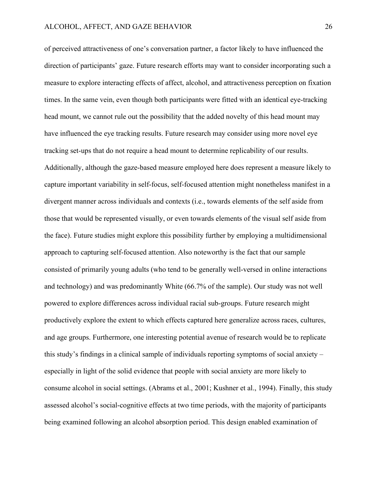of perceived attractiveness of one's conversation partner, a factor likely to have influenced the direction of participants' gaze. Future research efforts may want to consider incorporating such a measure to explore interacting effects of affect, alcohol, and attractiveness perception on fixation times. In the same vein, even though both participants were fitted with an identical eye-tracking head mount, we cannot rule out the possibility that the added novelty of this head mount may have influenced the eye tracking results. Future research may consider using more novel eye tracking set-ups that do not require a head mount to determine replicability of our results. Additionally, although the gaze-based measure employed here does represent a measure likely to capture important variability in self-focus, self-focused attention might nonetheless manifest in a divergent manner across individuals and contexts (i.e., towards elements of the self aside from those that would be represented visually, or even towards elements of the visual self aside from the face). Future studies might explore this possibility further by employing a multidimensional approach to capturing self-focused attention. Also noteworthy is the fact that our sample consisted of primarily young adults (who tend to be generally well-versed in online interactions and technology) and was predominantly White (66.7% of the sample). Our study was not well powered to explore differences across individual racial sub-groups. Future research might productively explore the extent to which effects captured here generalize across races, cultures, and age groups. Furthermore, one interesting potential avenue of research would be to replicate this study's findings in a clinical sample of individuals reporting symptoms of social anxiety – especially in light of the solid evidence that people with social anxiety are more likely to consume alcohol in social settings. (Abrams et al., 2001; Kushner et al., 1994). Finally, this study assessed alcohol's social-cognitive effects at two time periods, with the majority of participants being examined following an alcohol absorption period. This design enabled examination of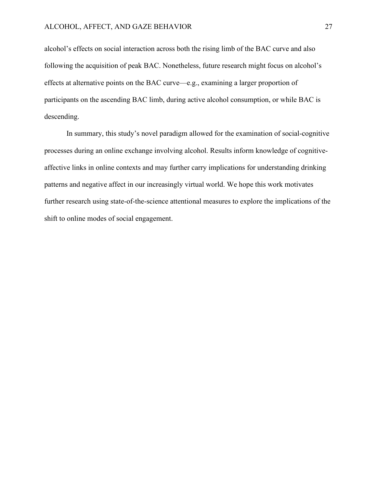alcohol's effects on social interaction across both the rising limb of the BAC curve and also following the acquisition of peak BAC. Nonetheless, future research might focus on alcohol's effects at alternative points on the BAC curve—e.g., examining a larger proportion of participants on the ascending BAC limb, during active alcohol consumption, or while BAC is descending.

In summary, this study's novel paradigm allowed for the examination of social-cognitive processes during an online exchange involving alcohol. Results inform knowledge of cognitiveaffective links in online contexts and may further carry implications for understanding drinking patterns and negative affect in our increasingly virtual world. We hope this work motivates further research using state-of-the-science attentional measures to explore the implications of the shift to online modes of social engagement.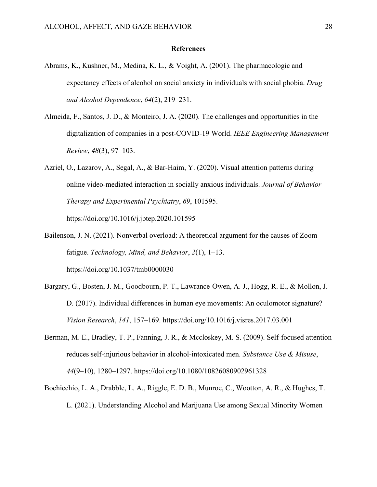#### **References**

- Abrams, K., Kushner, M., Medina, K. L., & Voight, A. (2001). The pharmacologic and expectancy effects of alcohol on social anxiety in individuals with social phobia. *Drug and Alcohol Dependence*, *64*(2), 219–231.
- Almeida, F., Santos, J. D., & Monteiro, J. A. (2020). The challenges and opportunities in the digitalization of companies in a post-COVID-19 World. *IEEE Engineering Management Review*, *48*(3), 97–103.
- Azriel, O., Lazarov, A., Segal, A., & Bar-Haim, Y. (2020). Visual attention patterns during online video-mediated interaction in socially anxious individuals. *Journal of Behavior Therapy and Experimental Psychiatry*, *69*, 101595. https://doi.org/10.1016/j.jbtep.2020.101595
- Bailenson, J. N. (2021). Nonverbal overload: A theoretical argument for the causes of Zoom fatigue. *Technology, Mind, and Behavior*, *2*(1), 1–13. https://doi.org/10.1037/tmb0000030
- Bargary, G., Bosten, J. M., Goodbourn, P. T., Lawrance-Owen, A. J., Hogg, R. E., & Mollon, J. D. (2017). Individual differences in human eye movements: An oculomotor signature? *Vision Research*, *141*, 157–169. https://doi.org/10.1016/j.visres.2017.03.001
- Berman, M. E., Bradley, T. P., Fanning, J. R., & Mccloskey, M. S. (2009). Self-focused attention reduces self-injurious behavior in alcohol-intoxicated men. *Substance Use & Misuse*, *44*(9–10), 1280–1297. https://doi.org/10.1080/10826080902961328
- Bochicchio, L. A., Drabble, L. A., Riggle, E. D. B., Munroe, C., Wootton, A. R., & Hughes, T. L. (2021). Understanding Alcohol and Marijuana Use among Sexual Minority Women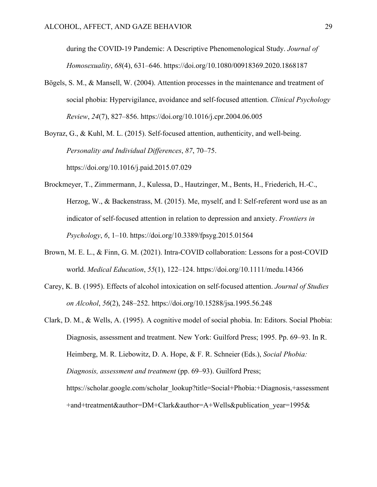during the COVID-19 Pandemic: A Descriptive Phenomenological Study. *Journal of Homosexuality*, *68*(4), 631–646. https://doi.org/10.1080/00918369.2020.1868187

Bögels, S. M., & Mansell, W. (2004). Attention processes in the maintenance and treatment of social phobia: Hypervigilance, avoidance and self-focused attention. *Clinical Psychology Review*, *24*(7), 827–856. https://doi.org/10.1016/j.cpr.2004.06.005

Boyraz, G., & Kuhl, M. L. (2015). Self-focused attention, authenticity, and well-being. *Personality and Individual Differences*, *87*, 70–75. https://doi.org/10.1016/j.paid.2015.07.029

- Brockmeyer, T., Zimmermann, J., Kulessa, D., Hautzinger, M., Bents, H., Friederich, H.-C., Herzog, W., & Backenstrass, M. (2015). Me, myself, and I: Self-referent word use as an indicator of self-focused attention in relation to depression and anxiety. *Frontiers in Psychology*, *6*, 1–10. https://doi.org/10.3389/fpsyg.2015.01564
- Brown, M. E. L., & Finn, G. M. (2021). Intra-COVID collaboration: Lessons for a post-COVID world. *Medical Education*, *55*(1), 122–124. https://doi.org/10.1111/medu.14366
- Carey, K. B. (1995). Effects of alcohol intoxication on self-focused attention. *Journal of Studies on Alcohol*, *56*(2), 248–252. https://doi.org/10.15288/jsa.1995.56.248
- Clark, D. M., & Wells, A. (1995). A cognitive model of social phobia. In: Editors. Social Phobia: Diagnosis, assessment and treatment. New York: Guilford Press; 1995. Pp. 69–93. In R. Heimberg, M. R. Liebowitz, D. A. Hope, & F. R. Schneier (Eds.), *Social Phobia: Diagnosis, assessment and treatment* (pp. 69–93). Guilford Press; https://scholar.google.com/scholar\_lookup?title=Social+Phobia:+Diagnosis,+assessment +and+treatment&author=DM+Clark&author=A+Wells&publication\_year=1995&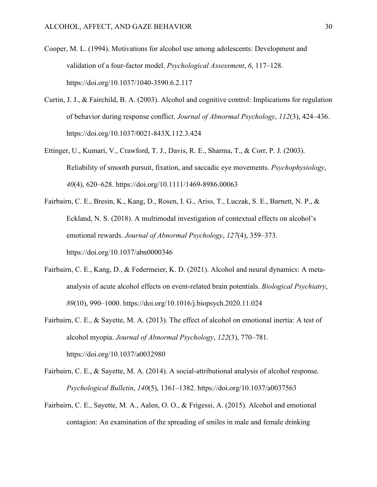- Cooper, M. L. (1994). Motivations for alcohol use among adolescents: Development and validation of a four-factor model. *Psychological Assessment*, *6*, 117–128. https://doi.org/10.1037/1040-3590.6.2.117
- Curtin, J. J., & Fairchild, B. A. (2003). Alcohol and cognitive control: Implications for regulation of behavior during response conflict. *Journal of Abnormal Psychology*, *112*(3), 424–436. https://doi.org/10.1037/0021-843X.112.3.424
- Ettinger, U., Kumari, V., Crawford, T. J., Davis, R. E., Sharma, T., & Corr, P. J. (2003). Reliability of smooth pursuit, fixation, and saccadic eye movements. *Psychophysiology*, *40*(4), 620–628. https://doi.org/10.1111/1469-8986.00063
- Fairbairn, C. E., Bresin, K., Kang, D., Rosen, I. G., Ariss, T., Luczak, S. E., Barnett, N. P., & Eckland, N. S. (2018). A multimodal investigation of contextual effects on alcohol's emotional rewards. *Journal of Abnormal Psychology*, *127*(4), 359–373. https://doi.org/10.1037/abn0000346
- Fairbairn, C. E., Kang, D., & Federmeier, K. D. (2021). Alcohol and neural dynamics: A metaanalysis of acute alcohol effects on event-related brain potentials. *Biological Psychiatry*, *89*(10), 990–1000. https://doi.org/10.1016/j.biopsych.2020.11.024
- Fairbairn, C. E., & Sayette, M. A. (2013). The effect of alcohol on emotional inertia: A test of alcohol myopia. *Journal of Abnormal Psychology*, *122*(3), 770–781. https://doi.org/10.1037/a0032980
- Fairbairn, C. E., & Sayette, M. A. (2014). A social-attributional analysis of alcohol response. *Psychological Bulletin*, *140*(5), 1361–1382. https://doi.org/10.1037/a0037563
- Fairbairn, C. E., Sayette, M. A., Aalen, O. O., & Frigessi, A. (2015). Alcohol and emotional contagion: An examination of the spreading of smiles in male and female drinking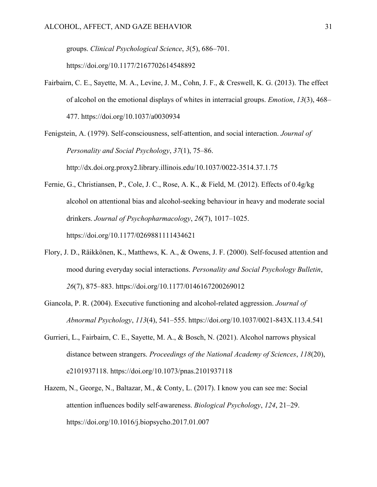groups. *Clinical Psychological Science*, *3*(5), 686–701.

https://doi.org/10.1177/2167702614548892

- Fairbairn, C. E., Sayette, M. A., Levine, J. M., Cohn, J. F., & Creswell, K. G. (2013). The effect of alcohol on the emotional displays of whites in interracial groups. *Emotion*, *13*(3), 468– 477. https://doi.org/10.1037/a0030934
- Fenigstein, A. (1979). Self-consciousness, self-attention, and social interaction. *Journal of Personality and Social Psychology*, *37*(1), 75–86. http://dx.doi.org.proxy2.library.illinois.edu/10.1037/0022-3514.37.1.75
- Fernie, G., Christiansen, P., Cole, J. C., Rose, A. K., & Field, M. (2012). Effects of 0.4g/kg alcohol on attentional bias and alcohol-seeking behaviour in heavy and moderate social drinkers. *Journal of Psychopharmacology*, *26*(7), 1017–1025. https://doi.org/10.1177/0269881111434621
- Flory, J. D., Räikkönen, K., Matthews, K. A., & Owens, J. F. (2000). Self-focused attention and mood during everyday social interactions. *Personality and Social Psychology Bulletin*, *26*(7), 875–883. https://doi.org/10.1177/0146167200269012
- Giancola, P. R. (2004). Executive functioning and alcohol-related aggression. *Journal of Abnormal Psychology*, *113*(4), 541–555. https://doi.org/10.1037/0021-843X.113.4.541
- Gurrieri, L., Fairbairn, C. E., Sayette, M. A., & Bosch, N. (2021). Alcohol narrows physical distance between strangers. *Proceedings of the National Academy of Sciences*, *118*(20), e2101937118. https://doi.org/10.1073/pnas.2101937118
- Hazem, N., George, N., Baltazar, M., & Conty, L. (2017). I know you can see me: Social attention influences bodily self-awareness. *Biological Psychology*, *124*, 21–29. https://doi.org/10.1016/j.biopsycho.2017.01.007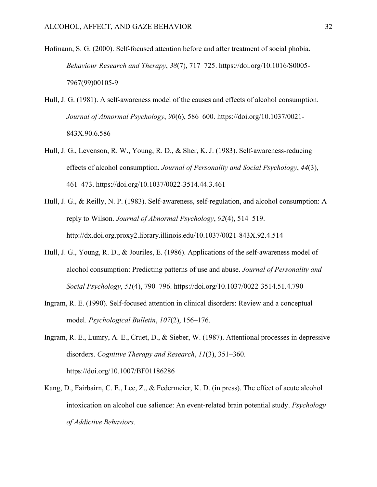- Hofmann, S. G. (2000). Self-focused attention before and after treatment of social phobia. *Behaviour Research and Therapy*, *38*(7), 717–725. https://doi.org/10.1016/S0005- 7967(99)00105-9
- Hull, J. G. (1981). A self-awareness model of the causes and effects of alcohol consumption. *Journal of Abnormal Psychology*, *90*(6), 586–600. https://doi.org/10.1037/0021- 843X.90.6.586
- Hull, J. G., Levenson, R. W., Young, R. D., & Sher, K. J. (1983). Self-awareness-reducing effects of alcohol consumption. *Journal of Personality and Social Psychology*, *44*(3), 461–473. https://doi.org/10.1037/0022-3514.44.3.461
- Hull, J. G., & Reilly, N. P. (1983). Self-awareness, self-regulation, and alcohol consumption: A reply to Wilson. *Journal of Abnormal Psychology*, *92*(4), 514–519. http://dx.doi.org.proxy2.library.illinois.edu/10.1037/0021-843X.92.4.514
- Hull, J. G., Young, R. D., & Jouriles, E. (1986). Applications of the self-awareness model of alcohol consumption: Predicting patterns of use and abuse. *Journal of Personality and Social Psychology*, *51*(4), 790–796. https://doi.org/10.1037/0022-3514.51.4.790
- Ingram, R. E. (1990). Self-focused attention in clinical disorders: Review and a conceptual model. *Psychological Bulletin*, *107*(2), 156–176.
- Ingram, R. E., Lumry, A. E., Cruet, D., & Sieber, W. (1987). Attentional processes in depressive disorders. *Cognitive Therapy and Research*, *11*(3), 351–360. https://doi.org/10.1007/BF01186286
- Kang, D., Fairbairn, C. E., Lee, Z., & Federmeier, K. D. (in press). The effect of acute alcohol intoxication on alcohol cue salience: An event-related brain potential study. *Psychology of Addictive Behaviors*.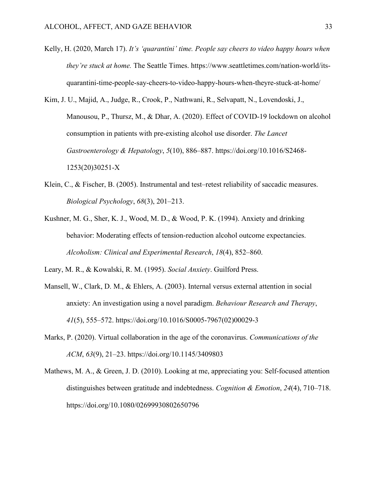- Kelly, H. (2020, March 17). *It's 'quarantini' time. People say cheers to video happy hours when they're stuck at home.* The Seattle Times. https://www.seattletimes.com/nation-world/itsquarantini-time-people-say-cheers-to-video-happy-hours-when-theyre-stuck-at-home/
- Kim, J. U., Majid, A., Judge, R., Crook, P., Nathwani, R., Selvapatt, N., Lovendoski, J., Manousou, P., Thursz, M., & Dhar, A. (2020). Effect of COVID-19 lockdown on alcohol consumption in patients with pre-existing alcohol use disorder. *The Lancet Gastroenterology & Hepatology*, *5*(10), 886–887. https://doi.org/10.1016/S2468- 1253(20)30251-X
- Klein, C., & Fischer, B. (2005). Instrumental and test–retest reliability of saccadic measures. *Biological Psychology*, *68*(3), 201–213.
- Kushner, M. G., Sher, K. J., Wood, M. D., & Wood, P. K. (1994). Anxiety and drinking behavior: Moderating effects of tension-reduction alcohol outcome expectancies. *Alcoholism: Clinical and Experimental Research*, *18*(4), 852–860.

Leary, M. R., & Kowalski, R. M. (1995). *Social Anxiety*. Guilford Press.

- Mansell, W., Clark, D. M., & Ehlers, A. (2003). Internal versus external attention in social anxiety: An investigation using a novel paradigm. *Behaviour Research and Therapy*, *41*(5), 555–572. https://doi.org/10.1016/S0005-7967(02)00029-3
- Marks, P. (2020). Virtual collaboration in the age of the coronavirus. *Communications of the ACM*, *63*(9), 21–23. https://doi.org/10.1145/3409803
- Mathews, M. A., & Green, J. D. (2010). Looking at me, appreciating you: Self-focused attention distinguishes between gratitude and indebtedness. *Cognition & Emotion*, *24*(4), 710–718. https://doi.org/10.1080/02699930802650796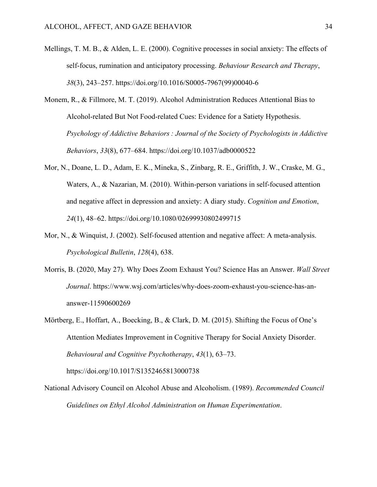- Mellings, T. M. B., & Alden, L. E. (2000). Cognitive processes in social anxiety: The effects of self-focus, rumination and anticipatory processing. *Behaviour Research and Therapy*, *38*(3), 243–257. https://doi.org/10.1016/S0005-7967(99)00040-6
- Monem, R., & Fillmore, M. T. (2019). Alcohol Administration Reduces Attentional Bias to Alcohol-related But Not Food-related Cues: Evidence for a Satiety Hypothesis. *Psychology of Addictive Behaviors : Journal of the Society of Psychologists in Addictive Behaviors*, *33*(8), 677–684. https://doi.org/10.1037/adb0000522
- Mor, N., Doane, L. D., Adam, E. K., Mineka, S., Zinbarg, R. E., Griffith, J. W., Craske, M. G., Waters, A., & Nazarian, M. (2010). Within-person variations in self-focused attention and negative affect in depression and anxiety: A diary study. *Cognition and Emotion*, *24*(1), 48–62. https://doi.org/10.1080/02699930802499715
- Mor, N., & Winquist, J. (2002). Self-focused attention and negative affect: A meta-analysis. *Psychological Bulletin*, *128*(4), 638.
- Morris, B. (2020, May 27). Why Does Zoom Exhaust You? Science Has an Answer. *Wall Street Journal*. https://www.wsj.com/articles/why-does-zoom-exhaust-you-science-has-ananswer-11590600269
- Mörtberg, E., Hoffart, A., Boecking, B., & Clark, D. M. (2015). Shifting the Focus of One's Attention Mediates Improvement in Cognitive Therapy for Social Anxiety Disorder. *Behavioural and Cognitive Psychotherapy*, *43*(1), 63–73. https://doi.org/10.1017/S1352465813000738
- National Advisory Council on Alcohol Abuse and Alcoholism. (1989). *Recommended Council Guidelines on Ethyl Alcohol Administration on Human Experimentation*.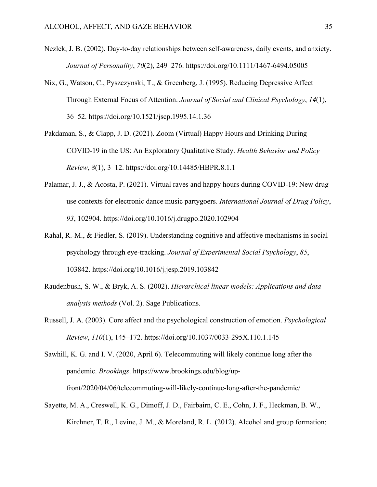- Nezlek, J. B. (2002). Day-to-day relationships between self-awareness, daily events, and anxiety. *Journal of Personality*, *70*(2), 249–276. https://doi.org/10.1111/1467-6494.05005
- Nix, G., Watson, C., Pyszczynski, T., & Greenberg, J. (1995). Reducing Depressive Affect Through External Focus of Attention. *Journal of Social and Clinical Psychology*, *14*(1), 36–52. https://doi.org/10.1521/jscp.1995.14.1.36
- Pakdaman, S., & Clapp, J. D. (2021). Zoom (Virtual) Happy Hours and Drinking During COVID-19 in the US: An Exploratory Qualitative Study. *Health Behavior and Policy Review*, *8*(1), 3–12. https://doi.org/10.14485/HBPR.8.1.1
- Palamar, J. J., & Acosta, P. (2021). Virtual raves and happy hours during COVID-19: New drug use contexts for electronic dance music partygoers. *International Journal of Drug Policy*, *93*, 102904. https://doi.org/10.1016/j.drugpo.2020.102904
- Rahal, R.-M., & Fiedler, S. (2019). Understanding cognitive and affective mechanisms in social psychology through eye-tracking. *Journal of Experimental Social Psychology*, *85*, 103842. https://doi.org/10.1016/j.jesp.2019.103842
- Raudenbush, S. W., & Bryk, A. S. (2002). *Hierarchical linear models: Applications and data analysis methods* (Vol. 2). Sage Publications.
- Russell, J. A. (2003). Core affect and the psychological construction of emotion. *Psychological Review*, *110*(1), 145–172. https://doi.org/10.1037/0033-295X.110.1.145

Sawhill, K. G. and I. V. (2020, April 6). Telecommuting will likely continue long after the pandemic. *Brookings*. https://www.brookings.edu/blog/upfront/2020/04/06/telecommuting-will-likely-continue-long-after-the-pandemic/

Sayette, M. A., Creswell, K. G., Dimoff, J. D., Fairbairn, C. E., Cohn, J. F., Heckman, B. W., Kirchner, T. R., Levine, J. M., & Moreland, R. L. (2012). Alcohol and group formation: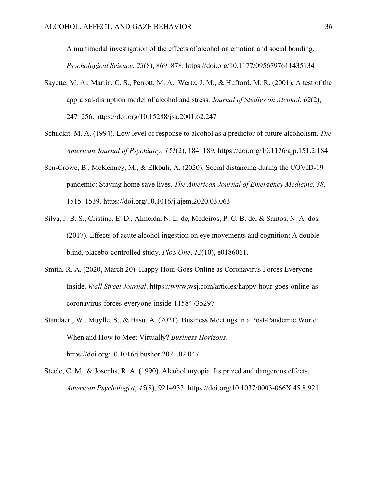A multimodal investigation of the effects of alcohol on emotion and social bonding. *Psychological Science*, *23*(8), 869–878. https://doi.org/10.1177/0956797611435134

- Sayette, M. A., Martin, C. S., Perrott, M. A., Wertz, J. M., & Hufford, M. R. (2001). A test of the appraisal-disruption model of alcohol and stress. *Journal of Studies on Alcohol*, *62*(2), 247–256. https://doi.org/10.15288/jsa.2001.62.247
- Schuckit, M. A. (1994). Low level of response to alcohol as a predictor of future alcoholism. *The American Journal of Psychiatry*, *151*(2), 184–189. https://doi.org/10.1176/ajp.151.2.184
- Sen-Crowe, B., McKenney, M., & Elkbuli, A. (2020). Social distancing during the COVID-19 pandemic: Staying home save lives. *The American Journal of Emergency Medicine*, *38*, 1515–1539. https://doi.org/10.1016/j.ajem.2020.03.063
- Silva, J. B. S., Cristino, E. D., Almeida, N. L. de, Medeiros, P. C. B. de, & Santos, N. A. dos. (2017). Effects of acute alcohol ingestion on eye movements and cognition: A doubleblind, placebo-controlled study. *PloS One*, *12*(10), e0186061.
- Smith, R. A. (2020, March 20). Happy Hour Goes Online as Coronavirus Forces Everyone Inside. *Wall Street Journal*. https://www.wsj.com/articles/happy-hour-goes-online-ascoronavirus-forces-everyone-inside-11584735297
- Standaert, W., Muylle, S., & Basu, A. (2021). Business Meetings in a Post-Pandemic World: When and How to Meet Virtually? *Business Horizons*. https://doi.org/10.1016/j.bushor.2021.02.047
- Steele, C. M., & Josephs, R. A. (1990). Alcohol myopia: Its prized and dangerous effects. *American Psychologist*, *45*(8), 921–933. https://doi.org/10.1037/0003-066X.45.8.921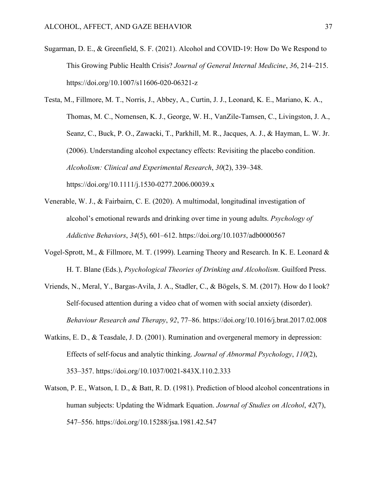- Sugarman, D. E., & Greenfield, S. F. (2021). Alcohol and COVID-19: How Do We Respond to This Growing Public Health Crisis? *Journal of General Internal Medicine*, *36*, 214–215. https://doi.org/10.1007/s11606-020-06321-z
- Testa, M., Fillmore, M. T., Norris, J., Abbey, A., Curtin, J. J., Leonard, K. E., Mariano, K. A., Thomas, M. C., Nomensen, K. J., George, W. H., VanZile-Tamsen, C., Livingston, J. A., Seanz, C., Buck, P. O., Zawacki, T., Parkhill, M. R., Jacques, A. J., & Hayman, L. W. Jr. (2006). Understanding alcohol expectancy effects: Revisiting the placebo condition. *Alcoholism: Clinical and Experimental Research*, *30*(2), 339–348. https://doi.org/10.1111/j.1530-0277.2006.00039.x
- Venerable, W. J., & Fairbairn, C. E. (2020). A multimodal, longitudinal investigation of alcohol's emotional rewards and drinking over time in young adults. *Psychology of Addictive Behaviors*, *34*(5), 601–612. https://doi.org/10.1037/adb0000567
- Vogel-Sprott, M., & Fillmore, M. T. (1999). Learning Theory and Research. In K. E. Leonard & H. T. Blane (Eds.), *Psychological Theories of Drinking and Alcoholism*. Guilford Press.
- Vriends, N., Meral, Y., Bargas-Avila, J. A., Stadler, C., & Bögels, S. M. (2017). How do I look? Self-focused attention during a video chat of women with social anxiety (disorder). *Behaviour Research and Therapy*, *92*, 77–86. https://doi.org/10.1016/j.brat.2017.02.008
- Watkins, E. D., & Teasdale, J. D. (2001). Rumination and overgeneral memory in depression: Effects of self-focus and analytic thinking. *Journal of Abnormal Psychology*, *110*(2), 353–357. https://doi.org/10.1037/0021-843X.110.2.333
- Watson, P. E., Watson, I. D., & Batt, R. D. (1981). Prediction of blood alcohol concentrations in human subjects: Updating the Widmark Equation. *Journal of Studies on Alcohol*, *42*(7), 547–556. https://doi.org/10.15288/jsa.1981.42.547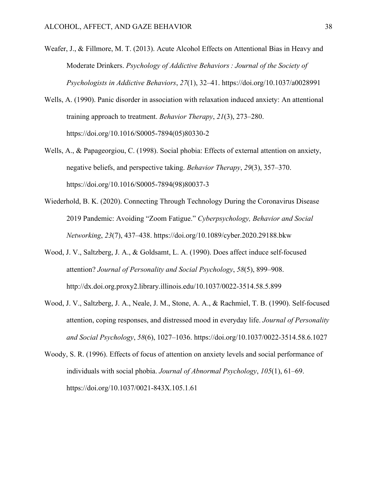- Weafer, J., & Fillmore, M. T. (2013). Acute Alcohol Effects on Attentional Bias in Heavy and Moderate Drinkers. *Psychology of Addictive Behaviors : Journal of the Society of Psychologists in Addictive Behaviors*, *27*(1), 32–41. https://doi.org/10.1037/a0028991
- Wells, A. (1990). Panic disorder in association with relaxation induced anxiety: An attentional training approach to treatment. *Behavior Therapy*, *21*(3), 273–280. https://doi.org/10.1016/S0005-7894(05)80330-2
- Wells, A., & Papageorgiou, C. (1998). Social phobia: Effects of external attention on anxiety, negative beliefs, and perspective taking. *Behavior Therapy*, *29*(3), 357–370. https://doi.org/10.1016/S0005-7894(98)80037-3
- Wiederhold, B. K. (2020). Connecting Through Technology During the Coronavirus Disease 2019 Pandemic: Avoiding "Zoom Fatigue." *Cyberpsychology, Behavior and Social Networking*, *23*(7), 437–438. https://doi.org/10.1089/cyber.2020.29188.bkw
- Wood, J. V., Saltzberg, J. A., & Goldsamt, L. A. (1990). Does affect induce self-focused attention? *Journal of Personality and Social Psychology*, *58*(5), 899–908. http://dx.doi.org.proxy2.library.illinois.edu/10.1037/0022-3514.58.5.899
- Wood, J. V., Saltzberg, J. A., Neale, J. M., Stone, A. A., & Rachmiel, T. B. (1990). Self-focused attention, coping responses, and distressed mood in everyday life. *Journal of Personality and Social Psychology*, *58*(6), 1027–1036. https://doi.org/10.1037/0022-3514.58.6.1027
- Woody, S. R. (1996). Effects of focus of attention on anxiety levels and social performance of individuals with social phobia. *Journal of Abnormal Psychology*, *105*(1), 61–69. https://doi.org/10.1037/0021-843X.105.1.61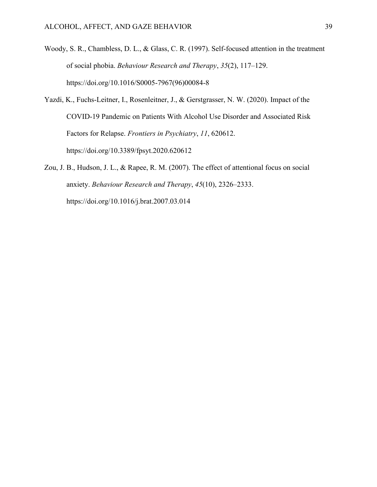- Woody, S. R., Chambless, D. L., & Glass, C. R. (1997). Self-focused attention in the treatment of social phobia. *Behaviour Research and Therapy*, *35*(2), 117–129. https://doi.org/10.1016/S0005-7967(96)00084-8
- Yazdi, K., Fuchs-Leitner, I., Rosenleitner, J., & Gerstgrasser, N. W. (2020). Impact of the COVID-19 Pandemic on Patients With Alcohol Use Disorder and Associated Risk Factors for Relapse. *Frontiers in Psychiatry*, *11*, 620612. https://doi.org/10.3389/fpsyt.2020.620612
- Zou, J. B., Hudson, J. L., & Rapee, R. M. (2007). The effect of attentional focus on social anxiety. *Behaviour Research and Therapy*, *45*(10), 2326–2333. https://doi.org/10.1016/j.brat.2007.03.014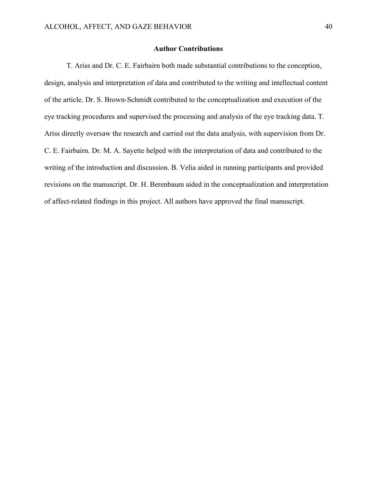### **Author Contributions**

T. Ariss and Dr. C. E. Fairbairn both made substantial contributions to the conception, design, analysis and interpretation of data and contributed to the writing and intellectual content of the article. Dr. S. Brown-Schmidt contributed to the conceptualization and execution of the eye tracking procedures and supervised the processing and analysis of the eye tracking data. T. Ariss directly oversaw the research and carried out the data analysis, with supervision from Dr. C. E. Fairbairn. Dr. M. A. Sayette helped with the interpretation of data and contributed to the writing of the introduction and discussion. B. Velia aided in running participants and provided revisions on the manuscript. Dr. H. Berenbaum aided in the conceptualization and interpretation of affect-related findings in this project. All authors have approved the final manuscript.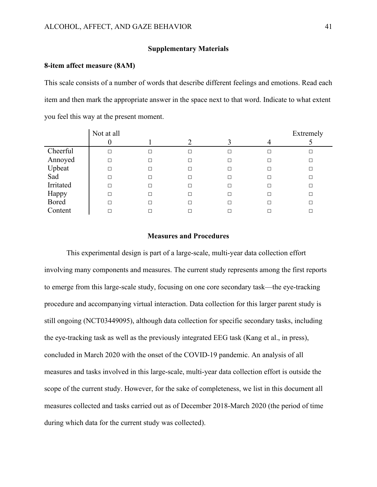### **Supplementary Materials**

#### **8-item affect measure (8AM)**

This scale consists of a number of words that describe different feelings and emotions. Read each item and then mark the appropriate answer in the space next to that word. Indicate to what extent you feel this way at the present moment.

|              | Not at all |   |   | Extremely |
|--------------|------------|---|---|-----------|
|              |            |   |   |           |
| Cheerful     | П          |   | □ |           |
| Annoyed      |            |   | ப |           |
| Upbeat       |            | □ | □ |           |
| Sad          |            |   | □ |           |
| Irritated    |            |   | □ |           |
| Happy        | П          | п | □ |           |
| <b>Bored</b> |            |   | П |           |
| Content      |            |   |   |           |

#### **Measures and Procedures**

This experimental design is part of a large-scale, multi-year data collection effort involving many components and measures. The current study represents among the first reports to emerge from this large-scale study, focusing on one core secondary task—the eye-tracking procedure and accompanying virtual interaction. Data collection for this larger parent study is still ongoing (NCT03449095), although data collection for specific secondary tasks, including the eye-tracking task as well as the previously integrated EEG task (Kang et al., in press), concluded in March 2020 with the onset of the COVID-19 pandemic. An analysis of all measures and tasks involved in this large-scale, multi-year data collection effort is outside the scope of the current study. However, for the sake of completeness, we list in this document all measures collected and tasks carried out as of December 2018-March 2020 (the period of time during which data for the current study was collected).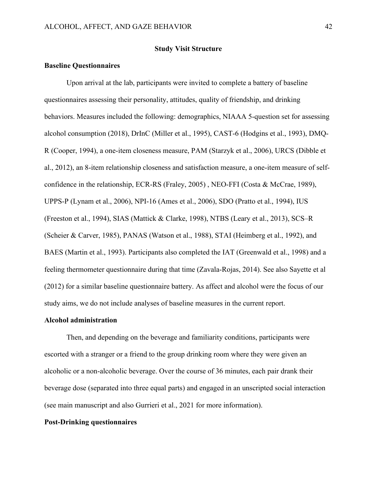### **Study Visit Structure**

### **Baseline Questionnaires**

Upon arrival at the lab, participants were invited to complete a battery of baseline questionnaires assessing their personality, attitudes, quality of friendship, and drinking behaviors. Measures included the following: demographics, NIAAA 5-question set for assessing alcohol consumption (2018), DrInC (Miller et al., 1995), CAST-6 (Hodgins et al., 1993), DMQ-R (Cooper, 1994), a one-item closeness measure, PAM (Starzyk et al., 2006), URCS (Dibble et al., 2012), an 8-item relationship closeness and satisfaction measure, a one-item measure of selfconfidence in the relationship, ECR-RS (Fraley, 2005) , NEO-FFI (Costa & McCrae, 1989), UPPS-P (Lynam et al., 2006), NPI-16 (Ames et al., 2006), SDO (Pratto et al., 1994), IUS (Freeston et al., 1994), SIAS (Mattick & Clarke, 1998), NTBS (Leary et al., 2013), SCS–R (Scheier & Carver, 1985), PANAS (Watson et al., 1988), STAI (Heimberg et al., 1992), and BAES (Martin et al., 1993). Participants also completed the IAT (Greenwald et al., 1998) and a feeling thermometer questionnaire during that time (Zavala-Rojas, 2014). See also Sayette et al (2012) for a similar baseline questionnaire battery. As affect and alcohol were the focus of our study aims, we do not include analyses of baseline measures in the current report.

#### **Alcohol administration**

Then, and depending on the beverage and familiarity conditions, participants were escorted with a stranger or a friend to the group drinking room where they were given an alcoholic or a non-alcoholic beverage. Over the course of 36 minutes, each pair drank their beverage dose (separated into three equal parts) and engaged in an unscripted social interaction (see main manuscript and also Gurrieri et al., 2021 for more information).

#### **Post-Drinking questionnaires**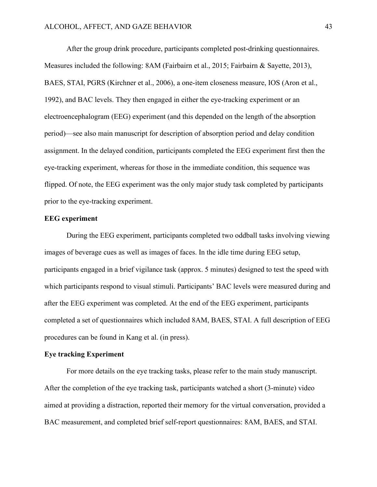After the group drink procedure, participants completed post-drinking questionnaires. Measures included the following: 8AM (Fairbairn et al., 2015; Fairbairn & Sayette, 2013), BAES, STAI, PGRS (Kirchner et al., 2006), a one-item closeness measure, IOS (Aron et al., 1992), and BAC levels. They then engaged in either the eye-tracking experiment or an electroencephalogram (EEG) experiment (and this depended on the length of the absorption period)—see also main manuscript for description of absorption period and delay condition assignment. In the delayed condition, participants completed the EEG experiment first then the eye-tracking experiment, whereas for those in the immediate condition, this sequence was flipped. Of note, the EEG experiment was the only major study task completed by participants prior to the eye-tracking experiment.

### **EEG experiment**

During the EEG experiment, participants completed two oddball tasks involving viewing images of beverage cues as well as images of faces. In the idle time during EEG setup, participants engaged in a brief vigilance task (approx. 5 minutes) designed to test the speed with which participants respond to visual stimuli. Participants' BAC levels were measured during and after the EEG experiment was completed. At the end of the EEG experiment, participants completed a set of questionnaires which included 8AM, BAES, STAI. A full description of EEG procedures can be found in Kang et al. (in press).

### **Eye tracking Experiment**

For more details on the eye tracking tasks, please refer to the main study manuscript. After the completion of the eye tracking task, participants watched a short (3-minute) video aimed at providing a distraction, reported their memory for the virtual conversation, provided a BAC measurement, and completed brief self-report questionnaires: 8AM, BAES, and STAI.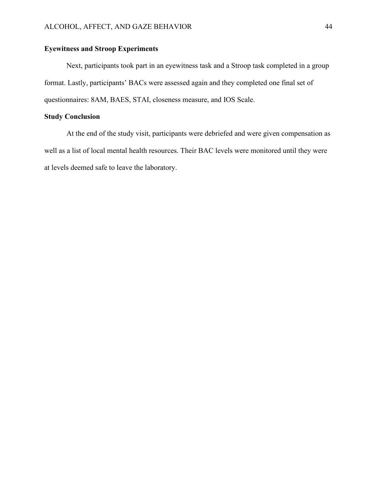# **Eyewitness and Stroop Experiments**

Next, participants took part in an eyewitness task and a Stroop task completed in a group format. Lastly, participants' BACs were assessed again and they completed one final set of questionnaires: 8AM, BAES, STAI, closeness measure, and IOS Scale.

# **Study Conclusion**

At the end of the study visit, participants were debriefed and were given compensation as well as a list of local mental health resources. Their BAC levels were monitored until they were at levels deemed safe to leave the laboratory.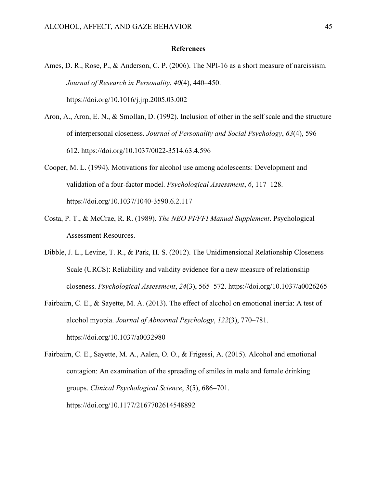### **References**

- Ames, D. R., Rose, P., & Anderson, C. P. (2006). The NPI-16 as a short measure of narcissism. *Journal of Research in Personality*, *40*(4), 440–450. https://doi.org/10.1016/j.jrp.2005.03.002
- Aron, A., Aron, E. N., & Smollan, D. (1992). Inclusion of other in the self scale and the structure of interpersonal closeness. *Journal of Personality and Social Psychology*, *63*(4), 596– 612. https://doi.org/10.1037/0022-3514.63.4.596
- Cooper, M. L. (1994). Motivations for alcohol use among adolescents: Development and validation of a four-factor model. *Psychological Assessment*, *6*, 117–128. https://doi.org/10.1037/1040-3590.6.2.117
- Costa, P. T., & McCrae, R. R. (1989). *The NEO PI/FFI Manual Supplement*. Psychological Assessment Resources.
- Dibble, J. L., Levine, T. R., & Park, H. S. (2012). The Unidimensional Relationship Closeness Scale (URCS): Reliability and validity evidence for a new measure of relationship closeness. *Psychological Assessment*, *24*(3), 565–572. https://doi.org/10.1037/a0026265
- Fairbairn, C. E., & Sayette, M. A. (2013). The effect of alcohol on emotional inertia: A test of alcohol myopia. *Journal of Abnormal Psychology*, *122*(3), 770–781. https://doi.org/10.1037/a0032980
- Fairbairn, C. E., Sayette, M. A., Aalen, O. O., & Frigessi, A. (2015). Alcohol and emotional contagion: An examination of the spreading of smiles in male and female drinking groups. *Clinical Psychological Science*, *3*(5), 686–701. https://doi.org/10.1177/2167702614548892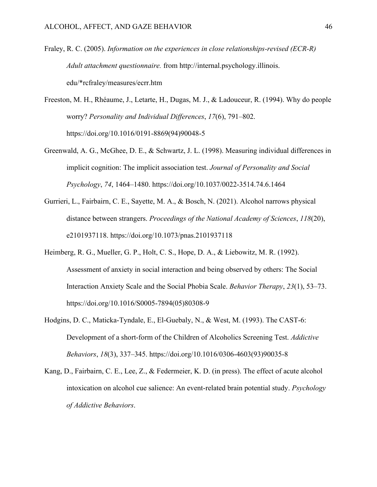- Fraley, R. C. (2005). *Information on the experiences in close relationships-revised (ECR-R) Adult attachment questionnaire.* from http://internal.psychology.illinois. edu/\*rcfraley/measures/ecrr.htm
- Freeston, M. H., Rhéaume, J., Letarte, H., Dugas, M. J., & Ladouceur, R. (1994). Why do people worry? *Personality and Individual Differences*, *17*(6), 791–802. https://doi.org/10.1016/0191-8869(94)90048-5
- Greenwald, A. G., McGhee, D. E., & Schwartz, J. L. (1998). Measuring individual differences in implicit cognition: The implicit association test. *Journal of Personality and Social Psychology*, *74*, 1464–1480. https://doi.org/10.1037/0022-3514.74.6.1464
- Gurrieri, L., Fairbairn, C. E., Sayette, M. A., & Bosch, N. (2021). Alcohol narrows physical distance between strangers. *Proceedings of the National Academy of Sciences*, *118*(20), e2101937118. https://doi.org/10.1073/pnas.2101937118
- Heimberg, R. G., Mueller, G. P., Holt, C. S., Hope, D. A., & Liebowitz, M. R. (1992). Assessment of anxiety in social interaction and being observed by others: The Social Interaction Anxiety Scale and the Social Phobia Scale. *Behavior Therapy*, *23*(1), 53–73. https://doi.org/10.1016/S0005-7894(05)80308-9
- Hodgins, D. C., Maticka-Tyndale, E., El-Guebaly, N., & West, M. (1993). The CAST-6: Development of a short-form of the Children of Alcoholics Screening Test. *Addictive Behaviors*, *18*(3), 337–345. https://doi.org/10.1016/0306-4603(93)90035-8
- Kang, D., Fairbairn, C. E., Lee, Z., & Federmeier, K. D. (in press). The effect of acute alcohol intoxication on alcohol cue salience: An event-related brain potential study. *Psychology of Addictive Behaviors*.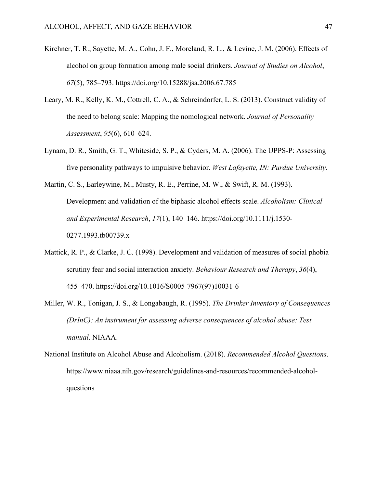- Kirchner, T. R., Sayette, M. A., Cohn, J. F., Moreland, R. L., & Levine, J. M. (2006). Effects of alcohol on group formation among male social drinkers. *Journal of Studies on Alcohol*, *67*(5), 785–793. https://doi.org/10.15288/jsa.2006.67.785
- Leary, M. R., Kelly, K. M., Cottrell, C. A., & Schreindorfer, L. S. (2013). Construct validity of the need to belong scale: Mapping the nomological network. *Journal of Personality Assessment*, *95*(6), 610–624.
- Lynam, D. R., Smith, G. T., Whiteside, S. P., & Cyders, M. A. (2006). The UPPS-P: Assessing five personality pathways to impulsive behavior. *West Lafayette, IN: Purdue University*.
- Martin, C. S., Earleywine, M., Musty, R. E., Perrine, M. W., & Swift, R. M. (1993). Development and validation of the biphasic alcohol effects scale. *Alcoholism: Clinical and Experimental Research*, *17*(1), 140–146. https://doi.org/10.1111/j.1530- 0277.1993.tb00739.x
- Mattick, R. P., & Clarke, J. C. (1998). Development and validation of measures of social phobia scrutiny fear and social interaction anxiety. *Behaviour Research and Therapy*, *36*(4), 455–470. https://doi.org/10.1016/S0005-7967(97)10031-6
- Miller, W. R., Tonigan, J. S., & Longabaugh, R. (1995). *The Drinker Inventory of Consequences (DrInC): An instrument for assessing adverse consequences of alcohol abuse: Test manual*. NIAAA.
- National Institute on Alcohol Abuse and Alcoholism. (2018). *Recommended Alcohol Questions*. https://www.niaaa.nih.gov/research/guidelines-and-resources/recommended-alcoholquestions